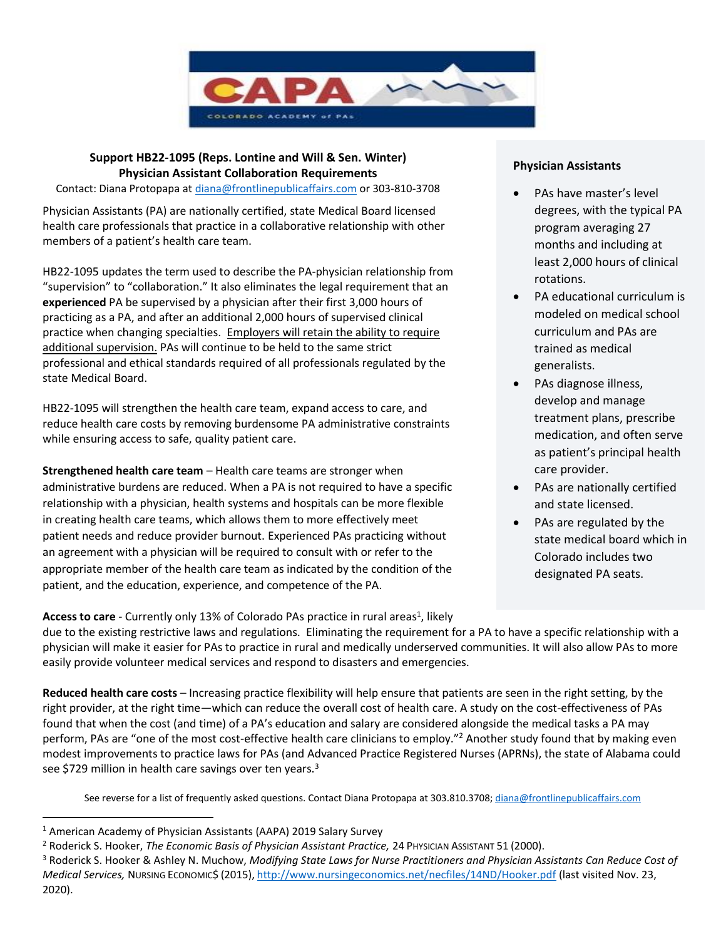

# **Support HB22-1095 (Reps. Lontine and Will & Sen. Winter) Physician Assistant Collaboration Requirements**

Contact: Diana Protopapa a[t diana@frontlinepublicaffairs.com](mailto:diana@frontlinepublicaffairs.com) or 303-810-3708

Physician Assistants (PA) are nationally certified, state Medical Board licensed health care professionals that practice in a collaborative relationship with other members of a patient's health care team.

HB22-1095 updates the term used to describe the PA-physician relationship from "supervision" to "collaboration." It also eliminates the legal requirement that an **experienced** PA be supervised by a physician after their first 3,000 hours of practicing as a PA, and after an additional 2,000 hours of supervised clinical practice when changing specialties. Employers will retain the ability to require additional supervision. PAs will continue to be held to the same strict professional and ethical standards required of all professionals regulated by the state Medical Board.

HB22-1095 will strengthen the health care team, expand access to care, and reduce health care costs by removing burdensome PA administrative constraints while ensuring access to safe, quality patient care.

**Strengthened health care team** – Health care teams are stronger when administrative burdens are reduced. When a PA is not required to have a specific relationship with a physician, health systems and hospitals can be more flexible in creating health care teams, which allows them to more effectively meet patient needs and reduce provider burnout. Experienced PAs practicing without an agreement with a physician will be required to consult with or refer to the appropriate member of the health care team as indicated by the condition of the patient, and the education, experience, and competence of the PA.

#### **Physician Assistants**

- PAs have master's level degrees, with the typical PA program averaging 27 months and including at least 2,000 hours of clinical rotations.
- PA educational curriculum is modeled on medical school curriculum and PAs are trained as medical generalists.
- PAs diagnose illness, develop and manage treatment plans, prescribe medication, and often serve as patient's principal health care provider.
- PAs are nationally certified and state licensed.
- PAs are regulated by the state medical board which in Colorado includes two designated PA seats.

Access to care - Currently only 13% of Colorado PAs practice in rural areas<sup>1</sup>, likely

due to the existing restrictive laws and regulations. Eliminating the requirement for a PA to have a specific relationship with a physician will make it easier for PAs to practice in rural and medically underserved communities. It will also allow PAs to more easily provide volunteer medical services and respond to disasters and emergencies.

**Reduced health care costs** – Increasing practice flexibility will help ensure that patients are seen in the right setting, by the right provider, at the right time—which can reduce the overall cost of health care. A study on the cost-effectiveness of PAs found that when the cost (and time) of a PA's education and salary are considered alongside the medical tasks a PA may perform, PAs are "one of the most cost-effective health care clinicians to employ."<sup>2</sup> Another study found that by making even modest improvements to practice laws for PAs (and Advanced Practice Registered Nurses (APRNs), the state of Alabama could see \$729 million in health care savings over ten years.<sup>3</sup>

See reverse for a list of frequently asked questions. Contact Diana Protopapa at 303.810.3708; [diana@frontlinepublicaffairs.com](mailto:diana@frontlinepublicaffairs.com)

<sup>1</sup> American Academy of Physician Assistants (AAPA) 2019 Salary Survey

<sup>&</sup>lt;sup>2</sup> Roderick S. Hooker, *The Economic Basis of Physician Assistant Practice*, 24 PHYSICIAN ASSISTANT 51 (2000).

<sup>3</sup> Roderick S. Hooker & Ashley N. Muchow, *Modifying State Laws for Nurse Practitioners and Physician Assistants Can Reduce Cost of Medical Services,* NURSING ECONOMIC\$ (2015), <http://www.nursingeconomics.net/necfiles/14ND/Hooker.pdf> (last visited Nov. 23, 2020).